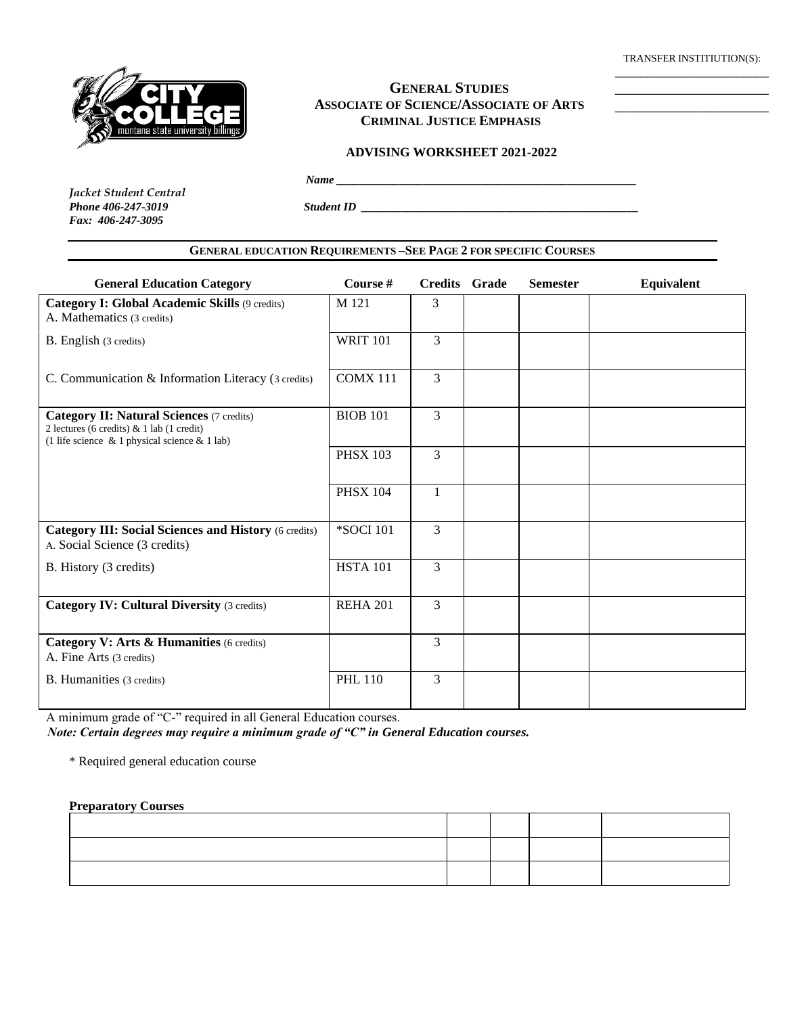TRANSFER INSTITIUTION(S): \_\_\_\_\_\_\_\_\_\_\_\_\_\_\_\_\_\_\_\_\_\_\_\_

\_\_\_\_\_\_\_\_\_\_\_\_\_\_\_\_\_\_\_\_ \_\_\_\_\_\_\_\_\_\_\_\_\_\_\_\_\_\_\_\_



# **GENERAL STUDIES ASSOCIATE OF SCIENCE/ASSOCIATE OF ARTS CRIMINAL JUSTICE EMPHASIS**

### **ADVISING WORKSHEET 2021-2022**

 *Name \_\_\_\_\_\_\_\_\_\_\_\_\_\_\_\_\_\_\_\_\_\_\_\_\_\_\_\_\_\_\_\_\_\_\_\_\_\_\_\_\_\_\_\_\_\_\_\_\_\_\_\_*

*Jacket Student Central Phone 406-247-3019 Student ID Student ID Student ID Fax: 406-247-3095*

## **GENERAL EDUCATION REQUIREMENTS –SEE PAGE 2 FOR SPECIFIC COURSES**

| <b>General Education Category</b>                                                                                                                    | Course #        | <b>Credits</b> Grade | <b>Semester</b> | Equivalent |
|------------------------------------------------------------------------------------------------------------------------------------------------------|-----------------|----------------------|-----------------|------------|
| Category I: Global Academic Skills (9 credits)<br>A. Mathematics (3 credits)                                                                         | M 121           | 3                    |                 |            |
| B. English (3 credits)                                                                                                                               | <b>WRIT 101</b> | 3                    |                 |            |
| C. Communication & Information Literacy (3 credits)                                                                                                  | <b>COMX 111</b> | 3                    |                 |            |
| <b>Category II: Natural Sciences (7 credits)</b><br>2 lectures (6 credits) & 1 lab (1 credit)<br>(1 life science $\&$ 1 physical science $\&$ 1 lab) | <b>BIOB 101</b> | 3                    |                 |            |
|                                                                                                                                                      | <b>PHSX 103</b> | 3                    |                 |            |
|                                                                                                                                                      | <b>PHSX 104</b> | $\mathbf{1}$         |                 |            |
| <b>Category III: Social Sciences and History (6 credits)</b><br>A. Social Science (3 credits)                                                        | *SOCI 101       | 3                    |                 |            |
| B. History (3 credits)                                                                                                                               | <b>HSTA 101</b> | 3                    |                 |            |
| <b>Category IV: Cultural Diversity (3 credits)</b>                                                                                                   | <b>REHA 201</b> | 3                    |                 |            |
| Category V: Arts & Humanities (6 credits)<br>A. Fine Arts (3 credits)                                                                                |                 | 3                    |                 |            |
| B. Humanities (3 credits)                                                                                                                            | <b>PHL 110</b>  | 3                    |                 |            |

A minimum grade of "C-" required in all General Education courses.

*Note: Certain degrees may require a minimum grade of "C" in General Education courses.*

\* Required general education course

#### **Preparatory Courses**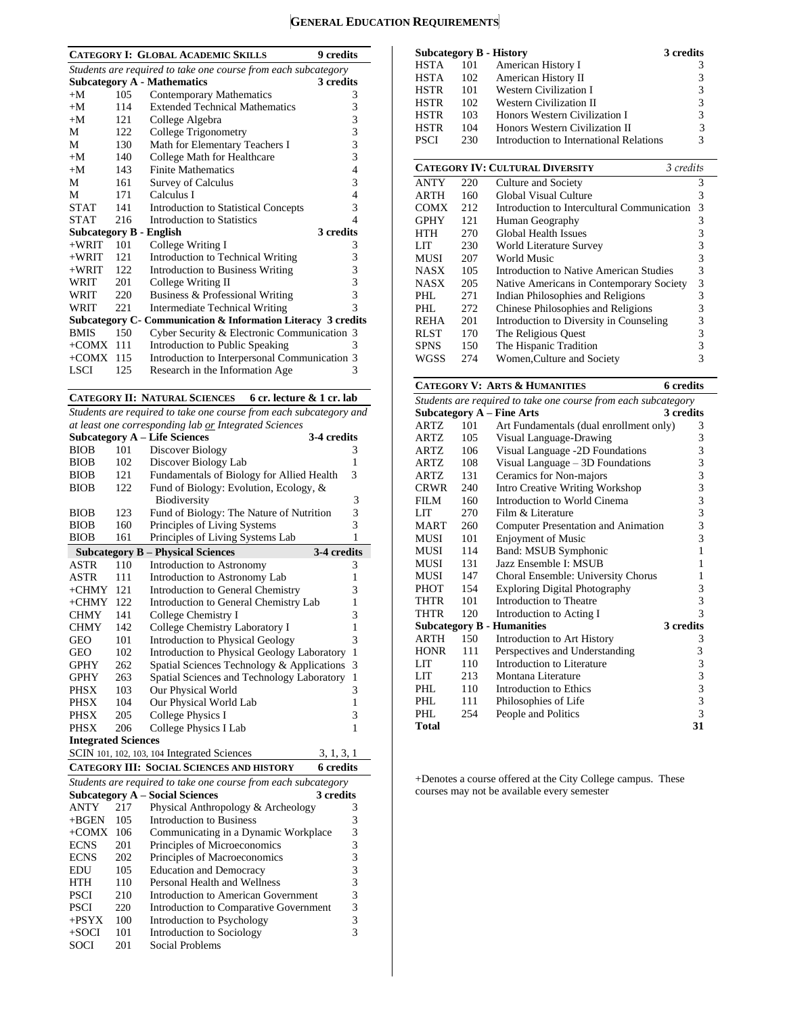# **GENERAL EDUCATION REQUIREMENTS**

|                                                                |     | <b>CATEGORY I: GLOBAL ACADEMIC SKILLS</b><br>9 credits        |               |  |  |  |
|----------------------------------------------------------------|-----|---------------------------------------------------------------|---------------|--|--|--|
| Students are required to take one course from each subcategory |     |                                                               |               |  |  |  |
|                                                                |     | <b>Subcategory A - Mathematics</b><br>3 credits               |               |  |  |  |
| $+M$                                                           | 105 | <b>Contemporary Mathematics</b>                               | 3             |  |  |  |
| $+M$                                                           | 114 | <b>Extended Technical Mathematics</b>                         | 3             |  |  |  |
| $+M$                                                           | 121 | College Algebra                                               | 3             |  |  |  |
| M                                                              | 122 | College Trigonometry                                          | 3             |  |  |  |
| М                                                              | 130 | Math for Elementary Teachers I                                | 3             |  |  |  |
| $+M$                                                           | 140 | College Math for Healthcare                                   | 3             |  |  |  |
| $+M$                                                           | 143 | <b>Finite Mathematics</b>                                     | 4             |  |  |  |
| М                                                              | 161 | Survey of Calculus                                            | 3             |  |  |  |
| M                                                              | 171 | Calculus I                                                    | 4             |  |  |  |
| <b>STAT</b>                                                    | 141 | Introduction to Statistical Concepts                          | 3             |  |  |  |
| <b>STAT</b>                                                    | 216 | Introduction to Statistics                                    | 4             |  |  |  |
| <b>Subcategory B - English</b>                                 |     | 3 credits                                                     |               |  |  |  |
| $+WRIT$                                                        | 101 | College Writing I                                             | 3             |  |  |  |
| $+WRIT$                                                        | 121 | Introduction to Technical Writing                             | 3             |  |  |  |
| $+WRIT$                                                        | 122 | Introduction to Business Writing                              | 3             |  |  |  |
| WRIT                                                           | 201 | College Writing II                                            | 3             |  |  |  |
| WRIT                                                           | 220 | Business & Professional Writing                               | 3             |  |  |  |
| WRIT                                                           | 221 | <b>Intermediate Technical Writing</b>                         | $\mathcal{R}$ |  |  |  |
|                                                                |     | Subcategory C- Communication & Information Literacy 3 credits |               |  |  |  |
| <b>BMIS</b>                                                    | 150 | Cyber Security & Electronic Communication 3                   |               |  |  |  |
| $+COMX$ 111                                                    |     | Introduction to Public Speaking                               | 3             |  |  |  |
| $+COMX$ 115                                                    |     | Introduction to Interpersonal Communication 3                 |               |  |  |  |
| LSCI                                                           | 125 | Research in the Information Age                               | 3             |  |  |  |
|                                                                |     |                                                               |               |  |  |  |

**CATEGORY II: NATURAL SCIENCES 6 cr. lecture & 1 cr. lab**

*Students are required to take one course from each subcategory and at least one corresponding lab or Integrated Sciences*

|                            |     | al least one corresponding two <u>or</u> megrated setences     |                |
|----------------------------|-----|----------------------------------------------------------------|----------------|
|                            |     | <b>Subcategory A – Life Sciences</b><br>3-4 credits            |                |
| <b>BIOB</b>                | 101 | Discover Biology                                               | 3              |
| <b>BIOB</b>                | 102 | Discover Biology Lab                                           | 1              |
| <b>BIOB</b>                | 121 | Fundamentals of Biology for Allied Health                      | 3              |
| <b>BIOB</b>                | 122 | Fund of Biology: Evolution, Ecology, &                         |                |
|                            |     | Biodiversity                                                   | 3              |
| <b>BIOB</b>                | 123 | Fund of Biology: The Nature of Nutrition                       | 3              |
| <b>BIOB</b>                | 160 | Principles of Living Systems                                   | 3              |
| <b>BIOB</b>                | 161 | Principles of Living Systems Lab                               | $\mathbf{1}$   |
|                            |     | <b>Subcategory B - Physical Sciences</b><br>3-4 credits        |                |
| ASTR                       | 110 | <b>Introduction to Astronomy</b>                               | 3              |
| <b>ASTR</b>                | 111 | Introduction to Astronomy Lab                                  | 1              |
| $+CHMY$                    | 121 | Introduction to General Chemistry                              | 3              |
| $+CHMY$                    | 122 | Introduction to General Chemistry Lab                          | 1              |
| <b>CHMY</b>                | 141 | College Chemistry I                                            | 3              |
| <b>CHMY</b>                | 142 | College Chemistry Laboratory I                                 | $\mathbf{1}$   |
| <b>GEO</b>                 | 101 | Introduction to Physical Geology                               | 3              |
| GEO                        | 102 | Introduction to Physical Geology Laboratory                    | $\mathbf{1}$   |
| GPHY                       | 262 | Spatial Sciences Technology & Applications                     | 3              |
| <b>GPHY</b>                | 263 | Spatial Sciences and Technology Laboratory                     | $\mathbf{1}$   |
| <b>PHSX</b>                | 103 | Our Physical World                                             | 3              |
| <b>PHSX</b>                | 104 | Our Physical World Lab                                         | 1              |
| <b>PHSX</b>                | 205 | College Physics I                                              | 3              |
| <b>PHSX</b>                | 206 | College Physics I Lab                                          | 1              |
| <b>Integrated Sciences</b> |     |                                                                |                |
|                            |     | SCIN 101, 102, 103, 104 Integrated Sciences<br>3, 1, 3, 1      |                |
|                            |     | CATEGORY III: SOCIAL SCIENCES AND HISTORY<br><b>6</b> credits  |                |
|                            |     | Students are required to take one course from each subcategory |                |
|                            |     | <b>Subcategory A - Social Sciences</b><br>3 credits            |                |
| <b>ANTY</b>                | 217 | Physical Anthropology & Archeology                             | 3              |
| $+{\rm BGEN}$              | 105 | <b>Introduction to Business</b>                                | 3              |
| $+COMX$ 106                |     | Communicating in a Dynamic Workplace                           | 3              |
| <b>ECNS</b>                | 201 | Principles of Microeconomics                                   | 3              |
| <b>ECNS</b>                | 202 | Principles of Macroeconomics                                   | 3              |
| <b>EDU</b>                 | 105 | <b>Education and Democracy</b>                                 | 3              |
| HTH                        | 110 | Personal Health and Wellness                                   | 3              |
| <b>PSCI</b>                | 210 | <b>Introduction to American Government</b>                     | 3              |
| <b>PSCI</b>                | 220 | Introduction to Comparative Government                         | 3              |
| $+$ PSYX                   | 100 | Introduction to Psychology                                     | 3              |
| $+SOCI$                    | 101 | Introduction to Sociology                                      | $\overline{3}$ |
| <b>SOCI</b>                | 201 | <b>Social Problems</b>                                         |                |

|             |     | <b>Subcategory B - History</b>              | 3 credits |
|-------------|-----|---------------------------------------------|-----------|
| <b>HSTA</b> | 101 | American History I                          | 3         |
| <b>HSTA</b> | 102 | American History II                         | 3         |
| <b>HSTR</b> | 101 | <b>Western Civilization I</b>               | 3         |
| <b>HSTR</b> | 102 | <b>Western Civilization II</b>              | 3         |
| <b>HSTR</b> | 103 | Honors Western Civilization I               | 3         |
| <b>HSTR</b> | 104 | Honors Western Civilization II              | 3         |
| <b>PSCI</b> | 230 | Introduction to International Relations     | 3         |
|             |     |                                             |           |
|             |     | <b>CATEGORY IV: CULTURAL DIVERSITY</b>      | 3 credits |
| <b>ANTY</b> | 220 | Culture and Society                         | 3         |
| <b>ARTH</b> | 160 | Global Visual Culture                       | 3         |
| <b>COMX</b> | 212 | Introduction to Intercultural Communication | 3         |
| <b>GPHY</b> | 121 | Human Geography                             | 3         |
| <b>HTH</b>  | 270 | Global Health Issues                        | 3         |
| LIT         | 230 | World Literature Survey                     | 3         |
| <b>MUSI</b> | 207 | World Music                                 | 3         |
| NASX        | 105 | Introduction to Native American Studies     | 3         |
| NASX        | 205 | Native Americans in Contemporary Society    | 3         |
| PHI.        | 271 | Indian Philosophies and Religions           | 3         |
| PHL.        | 272 | Chinese Philosophies and Religions          | 3         |
| REHA        | 201 | Introduction to Diversity in Counseling     | 3         |
| <b>RLST</b> | 170 | The Religious Quest                         | 3         |
| <b>SPNS</b> | 150 | The Hispanic Tradition                      | 3         |
| WGSS        | 274 | Women, Culture and Society                  | 3         |
|             |     |                                             |           |

# **CATEGORY V: ARTS & HUMANITIES 6 credits**

| Students are required to take one course from each subcategory |     |                                         |           |  |  |  |
|----------------------------------------------------------------|-----|-----------------------------------------|-----------|--|--|--|
|                                                                |     | <b>Subcategory A - Fine Arts</b>        | 3 credits |  |  |  |
| ARTZ                                                           | 101 | Art Fundamentals (dual enrollment only) | 3         |  |  |  |
| <b>ARTZ</b>                                                    | 105 | Visual Language-Drawing                 | 3         |  |  |  |
| ARTZ.                                                          | 106 | Visual Language -2D Foundations         | 3         |  |  |  |
| <b>ARTZ</b>                                                    | 108 | Visual Language $-3D$ Foundations       | 3         |  |  |  |
| <b>ARTZ</b>                                                    | 131 | Ceramics for Non-majors                 | 3         |  |  |  |
| <b>CRWR</b>                                                    | 240 | Intro Creative Writing Workshop         | 3         |  |  |  |
| FILM                                                           | 160 | Introduction to World Cinema            | 3         |  |  |  |
| LIT                                                            | 270 | Film & Literature                       | 3         |  |  |  |
| <b>MART</b>                                                    | 260 | Computer Presentation and Animation     | 3         |  |  |  |
| <b>MUSI</b>                                                    | 101 | <b>Enjoyment of Music</b>               | 3         |  |  |  |
| MUSI                                                           | 114 | Band: MSUB Symphonic                    | 1         |  |  |  |
| MUSI                                                           | 131 | Jazz Ensemble I: MSUB                   | 1         |  |  |  |
| MUSI                                                           | 147 | Choral Ensemble: University Chorus      | 1         |  |  |  |
| <b>PHOT</b>                                                    | 154 | <b>Exploring Digital Photography</b>    | 3         |  |  |  |
| THTR                                                           | 101 | Introduction to Theatre                 | 3         |  |  |  |
| <b>THTR</b>                                                    | 120 | Introduction to Acting I                | 3         |  |  |  |
|                                                                |     | <b>Subcategory B - Humanities</b>       | 3 credits |  |  |  |
| <b>ARTH</b>                                                    | 150 | Introduction to Art History             | 3         |  |  |  |
| <b>HONR</b>                                                    | 111 | Perspectives and Understanding          | 3         |  |  |  |
| LIT                                                            | 110 | Introduction to Literature              | 3         |  |  |  |
| LIT                                                            | 213 | Montana Literature                      | 3         |  |  |  |
| PHI.                                                           | 110 | Introduction to Ethics                  | 3         |  |  |  |
| PHI.                                                           | 111 | Philosophies of Life                    | 3         |  |  |  |
| PHL.                                                           | 254 | People and Politics                     | 3         |  |  |  |
| <b>Total</b>                                                   |     |                                         | 31        |  |  |  |

+Denotes a course offered at the City College campus. These courses may not be available every semester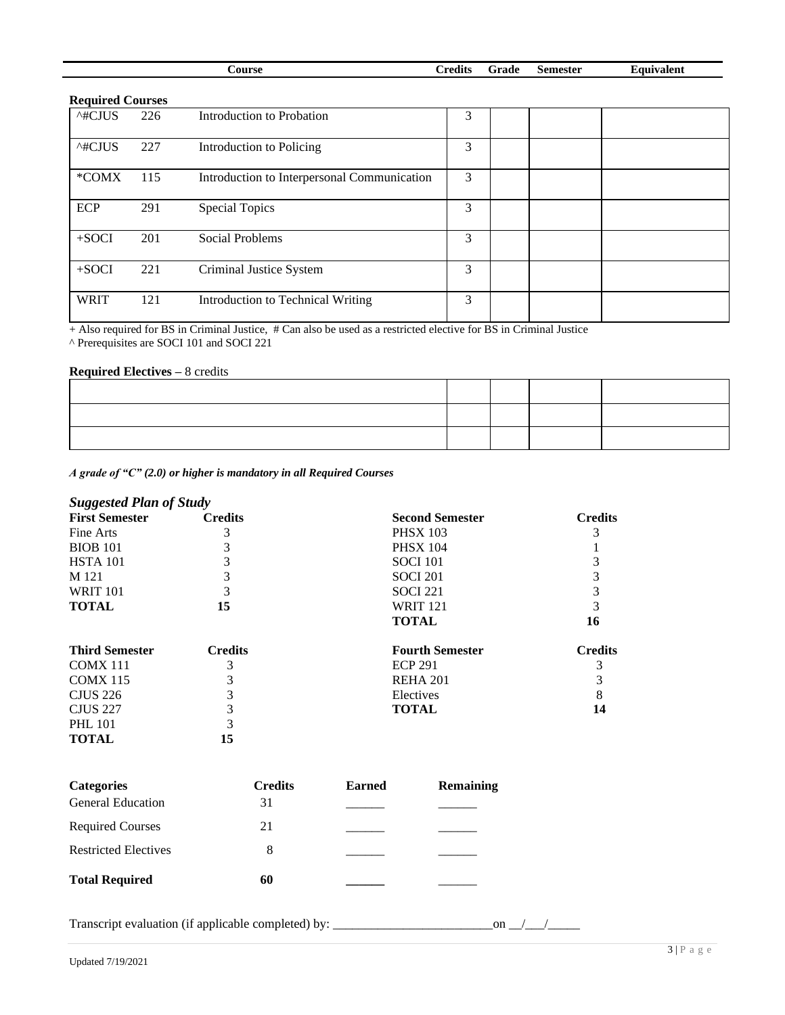| ∠ourse | `rodite<br>лсин | `rade | .semester | uvalent<br>' av |
|--------|-----------------|-------|-----------|-----------------|
|        |                 |       |           |                 |

| Required Courses |     |                                             |   |  |  |
|------------------|-----|---------------------------------------------|---|--|--|
| ^#CJUS           | 226 | Introduction to Probation                   | 3 |  |  |
| ^#CJUS           | 227 | Introduction to Policing                    | 3 |  |  |
| *COMX            | 115 | Introduction to Interpersonal Communication | 3 |  |  |
| ECP              | 291 | <b>Special Topics</b>                       | 3 |  |  |
| $+$ SOCI         | 201 | Social Problems                             | 3 |  |  |
| $+$ SOCI         | 221 | Criminal Justice System                     | 3 |  |  |
| <b>WRIT</b>      | 121 | Introduction to Technical Writing           | 3 |  |  |

+ Also required for BS in Criminal Justice, # Can also be used as a restricted elective for BS in Criminal Justice

^ Prerequisites are SOCI 101 and SOCI 221

### **Required Electives –** 8 credits

*A grade of "C" (2.0) or higher is mandatory in all Required Courses*

# *Suggested Plan of Study*

| <b>First Semester</b> | <b>Credits</b> | <b>Second Semester</b> | <b>Credits</b> |
|-----------------------|----------------|------------------------|----------------|
| Fine Arts             |                | <b>PHSX 103</b>        |                |
| <b>BIOB</b> 101       |                | <b>PHSX 104</b>        |                |
| <b>HSTA</b> 101       |                | <b>SOCI</b> 101        |                |
| M 121                 |                | <b>SOCI 201</b>        |                |
| <b>WRIT 101</b>       |                | <b>SOCI 221</b>        |                |
| <b>TOTAL</b>          | 15             | <b>WRIT 121</b>        |                |
|                       |                | <b>TOTAL</b>           | 16             |
| <b>Third Semester</b> | <b>Credits</b> | <b>Fourth Semester</b> | <b>Credits</b> |
| COMX 111              | 3              | <b>ECP 291</b>         |                |
| <b>COMX 115</b>       | 3              | <b>REHA 201</b>        |                |
| <b>CJUS</b> 226       |                | Electives              |                |
| <b>CJUS 227</b>       | 3              | <b>TOTAL</b>           | 14             |
| <b>PHL 101</b>        |                |                        |                |

**TOTAL 15** 

| <b>Categories</b>           | <b>Credits</b> | <b>Earned</b> | <b>Remaining</b> |
|-----------------------------|----------------|---------------|------------------|
| <b>General Education</b>    | 31             |               |                  |
| <b>Required Courses</b>     | 21             |               |                  |
| <b>Restricted Electives</b> | 8              |               |                  |
| <b>Total Required</b>       | 60             |               |                  |

Transcript evaluation (if applicable completed) by: \_\_\_\_\_\_\_\_\_\_\_\_\_\_\_\_\_\_\_\_\_\_\_\_\_on \_\_/\_\_\_/\_\_\_\_\_